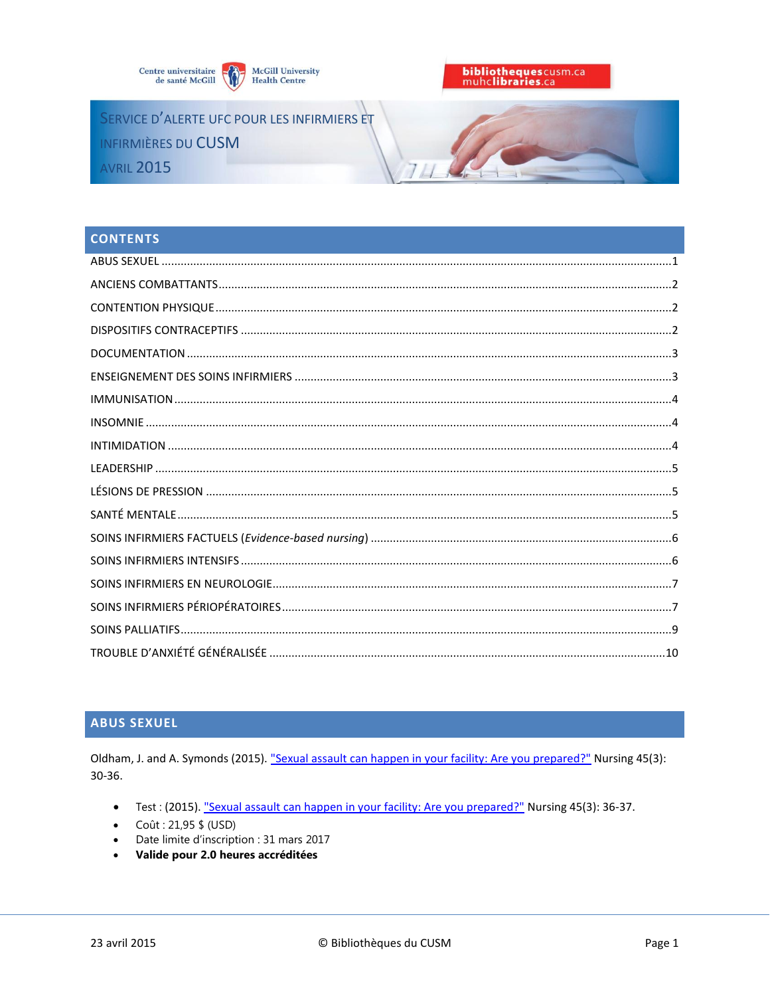



SERVICE D'ALERTE UFC POUR LES INFIRMIERS ET INFIRMIÈRES DU CUSM **AVRIL 2015** 

# **CONTENTS**

# <span id="page-0-0"></span>**ABUS SEXUEL**

Oldham, J. and A. Symonds (2015). "Sexual assault can happen in your facility: Are you prepared?" Nursing 45(3): 30-36.

- Test: (2015). "Sexual assault can happen in your facility: Are you prepared?" Nursing 45(3): 36-37.
- Coût: 21,95 \$ (USD)
- Date limite d'inscription : 31 mars 2017
- <span id="page-0-1"></span>Valide pour 2.0 heures accréditées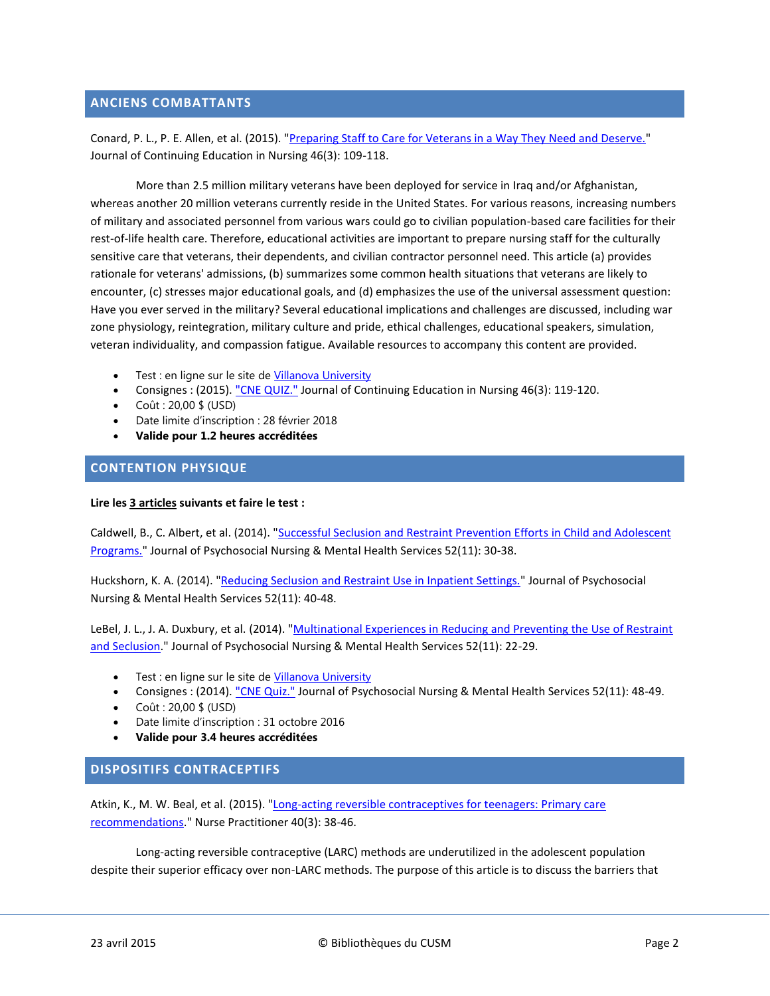# **ANCIENS COMBATTANTS**

Conard, P. L., P. E. Allen, et al. (2015). ["Preparing Staff to Care for Veterans in a Way They Need and Deserve."](http://www.healio.com/nursing/journals/jcen/2015-3-46-3/%7B4a9a09bc-eea8-4036-b4db-0899ddc30473%7D/preparing-staff-to-care-for-veterans-in-a-way-they-need-and-deserve) Journal of Continuing Education in Nursing 46(3): 109-118.

More than 2.5 million military veterans have been deployed for service in Iraq and/or Afghanistan, whereas another 20 million veterans currently reside in the United States. For various reasons, increasing numbers of military and associated personnel from various wars could go to civilian population-based care facilities for their rest-of-life health care. Therefore, educational activities are important to prepare nursing staff for the culturally sensitive care that veterans, their dependents, and civilian contractor personnel need. This article (a) provides rationale for veterans' admissions, (b) summarizes some common health situations that veterans are likely to encounter, (c) stresses major educational goals, and (d) emphasizes the use of the universal assessment question: Have you ever served in the military? Several educational implications and challenges are discussed, including war zone physiology, reintegration, military culture and pride, ethical challenges, educational speakers, simulation, veteran individuality, and compassion fatigue. Available resources to accompany this content are provided.

- Test : en ligne sur le site de [Villanova University](https://villanova.gosignmeup.com/dev_students.asp?action=coursedetail&id=2689&main=Nursing+Journals&sub1=Journal+of+Continuing+Education+in+Nursing&misc=322&courseinternalaccesscode=&coursetype=0)
- Consignes : (2015). ["CNE QUIZ."](http://www.healio.com/nursing/journals/jcen/2015-3-46-3/%7B02f270c8-da6f-4ae4-8da0-f3067f59715a%7D/preparing-staff-to-care-for-veterans-in-a-way-they-need-and-deserve) Journal of Continuing Education in Nursing 46(3): 119-120.
- Coût : 20,00 \$ (USD)
- Date limite d'inscription : 28 février 2018
- **Valide pour 1.2 heures accréditées**

#### <span id="page-1-0"></span>**CONTENTION PHYSIQUE**

#### **Lire les 3 articles suivants et faire le test :**

Caldwell, B., C. Albert, et al. (2014). ["Successful Seclusion and Restraint Prevention Efforts in Child and Adolescent](http://www.healio.com/psychiatry/journals/jpn/2014-11-52-11/%7Bf32a4463-6c57-4520-bbe9-02393e42d478%7D/successful-seclusion-and-restraint-prevention-efforts-in-child-and-adolescent-programs)  [Programs."](http://www.healio.com/psychiatry/journals/jpn/2014-11-52-11/%7Bf32a4463-6c57-4520-bbe9-02393e42d478%7D/successful-seclusion-and-restraint-prevention-efforts-in-child-and-adolescent-programs) Journal of Psychosocial Nursing & Mental Health Services 52(11): 30-38.

Huckshorn, K. A. (2014). ["Reducing Seclusion and Restraint Use in Inpatient Settings."](http://www.healio.com/psychiatry/journals/jpn/2014-11-52-11/%7Bcfa0cf0f-7943-4680-a9ce-bff74870a9db%7D/reducing-seclusion-and-restraint-use-in-inpatient-settings-a-phenomenological-study-of-state-psychiatric-hospital-leader-and-staff-experiences) Journal of Psychosocial Nursing & Mental Health Services 52(11): 40-48.

LeBel, J. L., J. A. Duxbury, et al. (2014). "Multinational Experiences in Reducing and Preventing the Use of Restraint [and Seclusion.](http://www.healio.com/psychiatry/journals/jpn/2014-11-52-11/%7B984f6f2f-0f57-409c-8bac-f685351c0a73%7D/multinational-experiences-in-reducing-and-preventing-the-use-of-restraint-and-seclusion)" Journal of Psychosocial Nursing & Mental Health Services 52(11): 22-29.

- **•** Test : en ligne sur le site de Villanova University
- Consignes : (2014). ["CNE Quiz."](http://www.healio.com/psychiatry/journals/jpn/2014-11-52-11/%7B9db918c2-069b-4d66-950c-c0215d29edb4%7D/cne-quiz) Journal of Psychosocial Nursing & Mental Health Services 52(11): 48-49.
- Coût : 20,00 \$ (USD)
- Date limite d'inscription : 31 octobre 2016
- **Valide pour 3.4 heures accréditées**

## <span id="page-1-1"></span>**DISPOSITIFS CONTRACEPTIFS**

Atkin, K., M. W. Beal, et al. (2015). "Long-acting reversible contraceptives for teenagers: Primary care [recommendations."](http://ovidsp.ovid.com/ovidweb.cgi?T=JS&CSC=Y&NEWS=N&PAGE=fulltext&AN=00006205-201503000-00008&LSLINK=80&D=ovft) Nurse Practitioner 40(3): 38-46.

Long-acting reversible contraceptive (LARC) methods are underutilized in the adolescent population despite their superior efficacy over non-LARC methods. The purpose of this article is to discuss the barriers that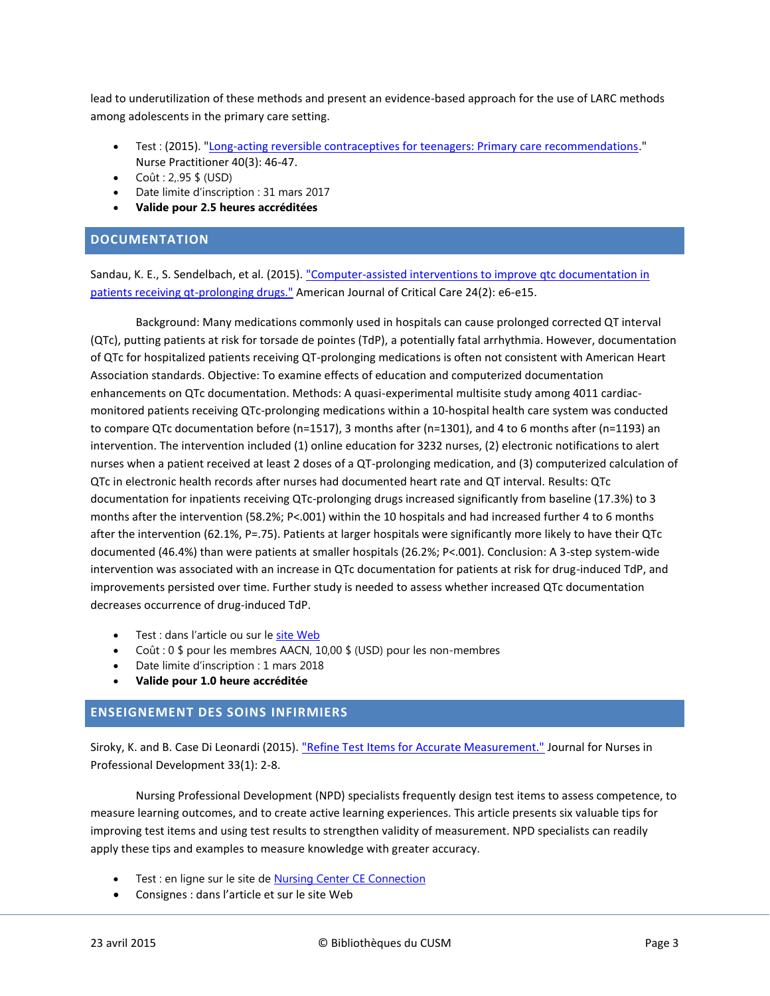lead to underutilization of these methods and present an evidence-based approach for the use of LARC methods among adolescents in the primary care setting.

- Test : (2015). ["Long-acting reversible contraceptives for teenagers: Primary care recommendations.](http://ovidsp.ovid.com/ovidweb.cgi?T=JS&CSC=Y&NEWS=N&PAGE=fulltext&AN=00006205-201503000-00009&LSLINK=80&D=ovft)" Nurse Practitioner 40(3): 46-47.
- $Co\hat{u}t : 2, .95 \,$ \$ (USD)
- Date limite d'inscription : 31 mars 2017
- **Valide pour 2.5 heures accréditées**

## <span id="page-2-0"></span>**DOCUMENTATION**

Sandau, K. E., S. Sendelbach, et al. (2015). ["Computer-assisted interventions to improve qtc documentation in](http://search.ebscohost.com/login.aspx?direct=true&db=ccm&AN=2012917356&site=ehost-live)  [patients receiving qt-prolonging drugs."](http://search.ebscohost.com/login.aspx?direct=true&db=ccm&AN=2012917356&site=ehost-live) American Journal of Critical Care 24(2): e6-e15.

Background: Many medications commonly used in hospitals can cause prolonged corrected QT interval (QTc), putting patients at risk for torsade de pointes (TdP), a potentially fatal arrhythmia. However, documentation of QTc for hospitalized patients receiving QT-prolonging medications is often not consistent with American Heart Association standards. Objective: To examine effects of education and computerized documentation enhancements on QTc documentation. Methods: A quasi-experimental multisite study among 4011 cardiacmonitored patients receiving QTc-prolonging medications within a 10-hospital health care system was conducted to compare QTc documentation before (n=1517), 3 months after (n=1301), and 4 to 6 months after (n=1193) an intervention. The intervention included (1) online education for 3232 nurses, (2) electronic notifications to alert nurses when a patient received at least 2 doses of a QT-prolonging medication, and (3) computerized calculation of QTc in electronic health records after nurses had documented heart rate and QT interval. Results: QTc documentation for inpatients receiving QTc-prolonging drugs increased significantly from baseline (17.3%) to 3 months after the intervention (58.2%; P<.001) within the 10 hospitals and had increased further 4 to 6 months after the intervention (62.1%, P=.75). Patients at larger hospitals were significantly more likely to have their QTc documented (46.4%) than were patients at smaller hospitals (26.2%; P<.001). Conclusion: A 3-step system-wide intervention was associated with an increase in QTc documentation for patients at risk for drug-induced TdP, and improvements persisted over time. Further study is needed to assess whether increased QTc documentation decreases occurrence of drug-induced TdP.

- Test : dans l'article ou sur le [site Web](http://www.aacn.org/DM/CETests/Overview.aspx?TestID=1159&mid=2864&ItemID=1151&menu=CETests)
- Coût : 0 \$ pour les membres AACN, 10,00 \$ (USD) pour les non-membres
- Date limite d'inscription : 1 mars 2018
- **Valide pour 1.0 heure accréditée**

# <span id="page-2-1"></span>**ENSEIGNEMENT DES SOINS INFIRMIERS**

Siroky, K. and B. Case Di Leonardi (2015). ["Refine Test Items for Accurate Measurement."](http://ovidsp.ovid.com/ovidweb.cgi?T=JS&CSC=Y&NEWS=N&PAGE=fulltext&AN=01709760-201501000-00002&LSLINK=80&D=ovft) Journal for Nurses in Professional Development 33(1): 2-8.

Nursing Professional Development (NPD) specialists frequently design test items to assess competence, to measure learning outcomes, and to create active learning experiences. This article presents six valuable tips for improving test items and using test results to strengthen validity of measurement. NPD specialists can readily apply these tips and examples to measure knowledge with greater accuracy.

- Test : en ligne sur le site de [Nursing Center CE Connection](https://nursing.ceconnection.com/public/modules/6104)
- Consignes : dans l'article et sur le site Web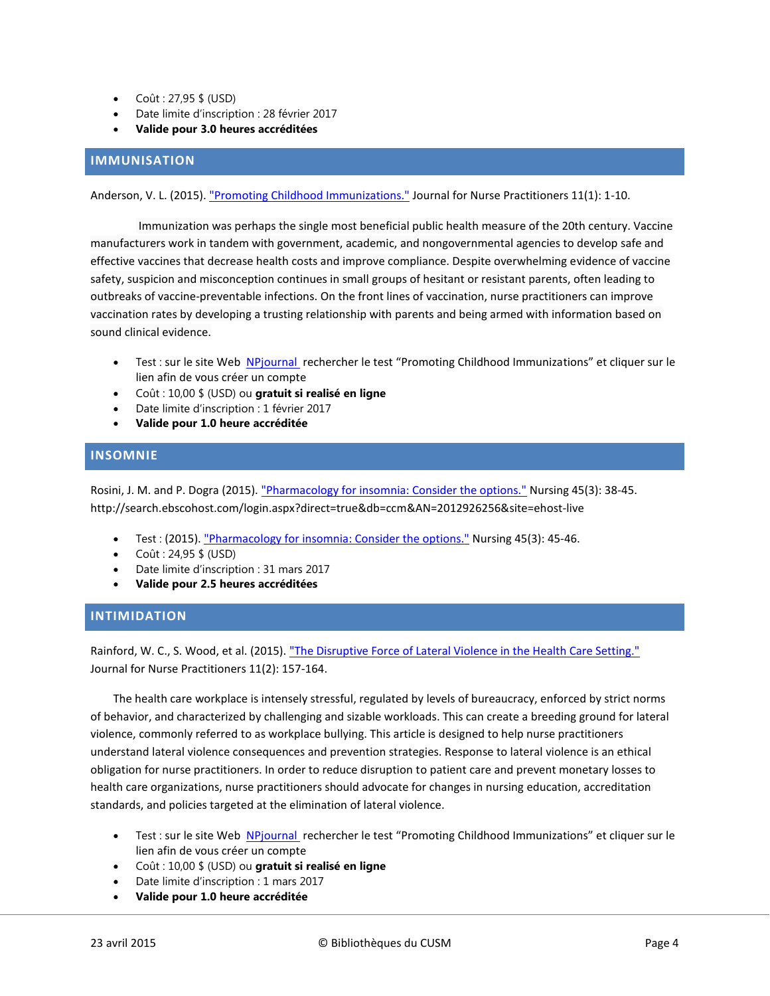- $\bullet$  Coût : 27,95 \$ (USD)
- Date limite d'inscription : 28 février 2017
- **Valide pour 3.0 heures accréditées**

# <span id="page-3-0"></span>**IMMUNISATION**

Anderson, V. L. (2015)[. "Promoting Childhood Immunizations."](http://search.ebscohost.com/login.aspx?direct=true&db=ccm&AN=2012891721&site=ehost-live) Journal for Nurse Practitioners 11(1): 1-10.

Immunization was perhaps the single most beneficial public health measure of the 20th century. Vaccine manufacturers work in tandem with government, academic, and nongovernmental agencies to develop safe and effective vaccines that decrease health costs and improve compliance. Despite overwhelming evidence of vaccine safety, suspicion and misconception continues in small groups of hesitant or resistant parents, often leading to outbreaks of vaccine-preventable infections. On the front lines of vaccination, nurse practitioners can improve vaccination rates by developing a trusting relationship with parents and being armed with information based on sound clinical evidence.

- Test : sur le site Web [NPjournal](http://www.npjournal.org/cme/home) rechercher le test "Promoting Childhood Immunizations" et cliquer sur le lien afin de vous créer un compte
- Coût : 10,00 \$ (USD) ou **gratuit si realisé en ligne**
- Date limite d'inscription : 1 février 2017
- **Valide pour 1.0 heure accréditée**

# <span id="page-3-1"></span>**INSOMNIE**

Rosini, J. M. and P. Dogra (2015). ["Pharmacology for insomnia: Consider the options."](http://ovidsp.ovid.com/ovidweb.cgi?T=JS&CSC=Y&NEWS=N&PAGE=fulltext&AN=00152193-201503000-00013&LSLINK=80&D=ovft) Nursing 45(3): 38-45. http://search.ebscohost.com/login.aspx?direct=true&db=ccm&AN=2012926256&site=ehost-live

- Test : (2015). ["Pharmacology for insomnia: Consider the options."](http://ovidsp.ovid.com/ovidweb.cgi?T=JS&CSC=Y&NEWS=N&PAGE=fulltext&AN=00152193-201503000-00014&LSLINK=80&D=ovft) Nursing 45(3): 45-46.
- $Co\hat{u}t : 24,95 \,$ \$ (USD)
- Date limite d'inscription : 31 mars 2017
- **Valide pour 2.5 heures accréditées**

## <span id="page-3-2"></span>**INTIMIDATION**

Rainford, W. C., S. Wood, et al. (2015). ["The Disruptive Force of Lateral Violence in the Health Care Setting."](http://search.ebscohost.com/login.aspx?direct=true&db=ccm&AN=2012927280&site=ehost-live) Journal for Nurse Practitioners 11(2): 157-164.

The health care workplace is intensely stressful, regulated by levels of bureaucracy, enforced by strict norms of behavior, and characterized by challenging and sizable workloads. This can create a breeding ground for lateral violence, commonly referred to as workplace bullying. This article is designed to help nurse practitioners understand lateral violence consequences and prevention strategies. Response to lateral violence is an ethical obligation for nurse practitioners. In order to reduce disruption to patient care and prevent monetary losses to health care organizations, nurse practitioners should advocate for changes in nursing education, accreditation standards, and policies targeted at the elimination of lateral violence.

- Test : sur le site Web [NPjournal](http://www.npjournal.org/cme/home) rechercher le test "Promoting Childhood Immunizations" et cliquer sur le lien afin de vous créer un compte
- Coût : 10,00 \$ (USD) ou **gratuit si realisé en ligne**
- Date limite d'inscription : 1 mars 2017
- **Valide pour 1.0 heure accréditée**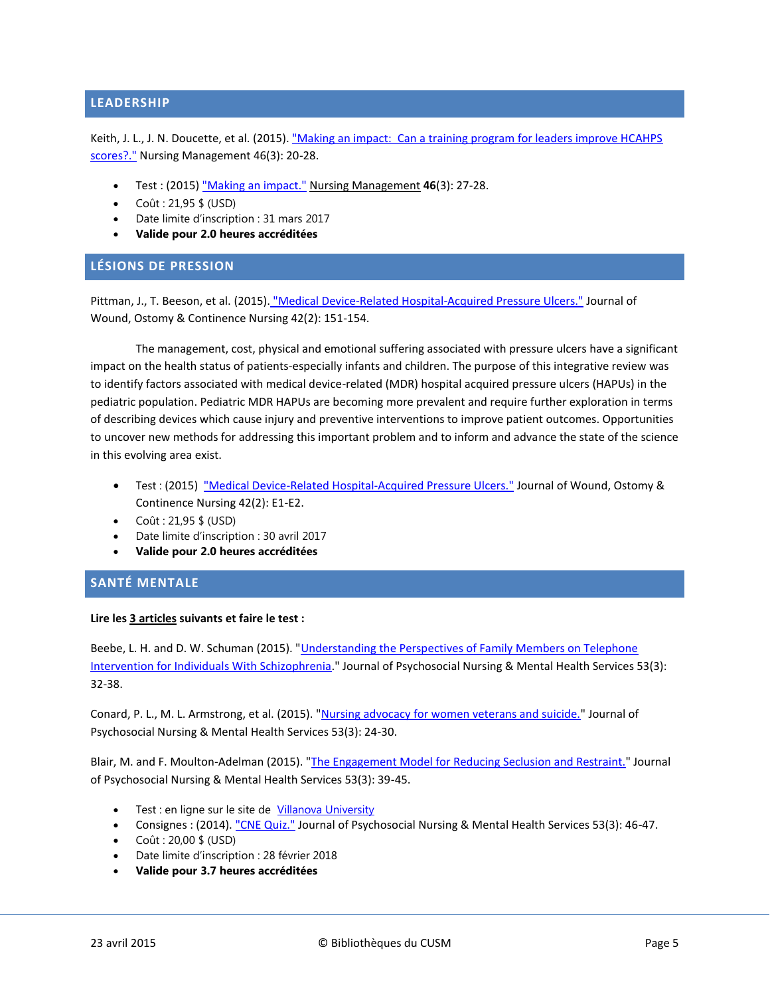# <span id="page-4-0"></span>**LEADERSHIP**

Keith, J. L., J. N. Doucette, et al. (2015). "Making an impact: Can a training program for leaders improve HCAHPS [scores?."](http://ovidsp.ovid.com/ovidweb.cgi?T=JS&CSC=Y&NEWS=N&PAGE=fulltext&AN=00006247-201503000-00006&LSLINK=80&D=ovft) Nursing Management 46(3): 20-28.

- Test : (2015) ["Making an impact."](http://ovidsp.ovid.com/ovidweb.cgi?T=JS&CSC=Y&NEWS=N&PAGE=fulltext&AN=00006247-201503000-00007&D=ovft&PDF=y) Nursing Management **46**(3): 27-28.
- $\bullet$  Coût : 21.95 \$ (USD)
- Date limite d'inscription : 31 mars 2017
- **Valide pour 2.0 heures accréditées**

## <span id="page-4-1"></span>**LÉSIONS DE PRESSION**

Pittman, J., T. Beeson, et al. (2015). ["Medical Device-Related Hospital-Acquired Pressure Ulcers."](http://ovidsp.ovid.com/ovidweb.cgi?T=JS&CSC=Y&NEWS=N&PAGE=fulltext&AN=00152192-201503000-00006&LSLINK=80&D=ovft) Journal of Wound, Ostomy & Continence Nursing 42(2): 151-154.

The management, cost, physical and emotional suffering associated with pressure ulcers have a significant impact on the health status of patients-especially infants and children. The purpose of this integrative review was to identify factors associated with medical device-related (MDR) hospital acquired pressure ulcers (HAPUs) in the pediatric population. Pediatric MDR HAPUs are becoming more prevalent and require further exploration in terms of describing devices which cause injury and preventive interventions to improve patient outcomes. Opportunities to uncover new methods for addressing this important problem and to inform and advance the state of the science in this evolving area exist.

- Test : (2015) ["Medical Device-Related Hospital-Acquired Pressure Ulcers."](http://ovidsp.ovid.com/ovidweb.cgi?T=JS&CSC=Y&NEWS=N&PAGE=fulltext&AN=00152192-201503000-00017&LSLINK=80&D=ovft) Journal of Wound, Ostomy & Continence Nursing 42(2): E1-E2.
- $\bullet$  Coût : 21,95 \$ (USD)
- Date limite d'inscription : 30 avril 2017
- **Valide pour 2.0 heures accréditées**

# <span id="page-4-2"></span>**SANTÉ MENTALE**

#### **Lire les 3 articles suivants et faire le test :**

Beebe, L. H. and D. W. Schuman (2015). "Understanding the Perspectives of Family Members on Telephone [Intervention for Individuals With Schizophrenia.](http://www.healio.com/psychiatry/journals/jpn/2015-3-53-3/%7Be64d27cf-b33d-49cf-b26b-629a2aa25ae0%7D/understanding-the-perspectives-of-family-members-on-telephone-intervention-for-individuals-with-schizophrenia-results-of-a-focus-group)" Journal of Psychosocial Nursing & Mental Health Services 53(3): 32-38.

Conard, P. L., M. L. Armstrong, et al. (2015). ["Nursing advocacy for women veterans and suicide."](http://www.healio.com/psychiatry/journals/jpn/2015-3-53-3/%7B9a84e494-b399-47db-80ca-f146acc2f009%7D/nursing-advocacy-for-women-veterans-and-suicide) Journal of Psychosocial Nursing & Mental Health Services 53(3): 24-30.

Blair, M. and F. Moulton-Adelman (2015). ["The Engagement Model for Reducing Seclusion and Restraint."](http://www.healio.com/psychiatry/journals/jpn/2015-3-53-3/%7B425d6367-3e5d-4d10-a2a6-8dca73133651%7D/the-engagement-model-for-reducing-seclusion-and-restraint-13-years-later) Journal of Psychosocial Nursing & Mental Health Services 53(3): 39-45.

- Test : en ligne sur le site de [Villanova University](https://villanova.gosignmeup.com/dev_students.asp?action=coursedetail&id=2688&main=&sub1=&misc=630&courseinternalaccesscode=&coursetype=0)
- Consignes : (2014). ["CNE Quiz."](http://www.healio.com/psychiatry/journals/jpn/2015-3-53-3/%7Bed10944f-db36-41d3-9bcc-12c2b7a07a66%7D/cne-quiz) Journal of Psychosocial Nursing & Mental Health Services 53(3): 46-47.
- $\bullet$  Coût : 20,00 \$ (USD)
- Date limite d'inscription : 28 février 2018
- **Valide pour 3.7 heures accréditées**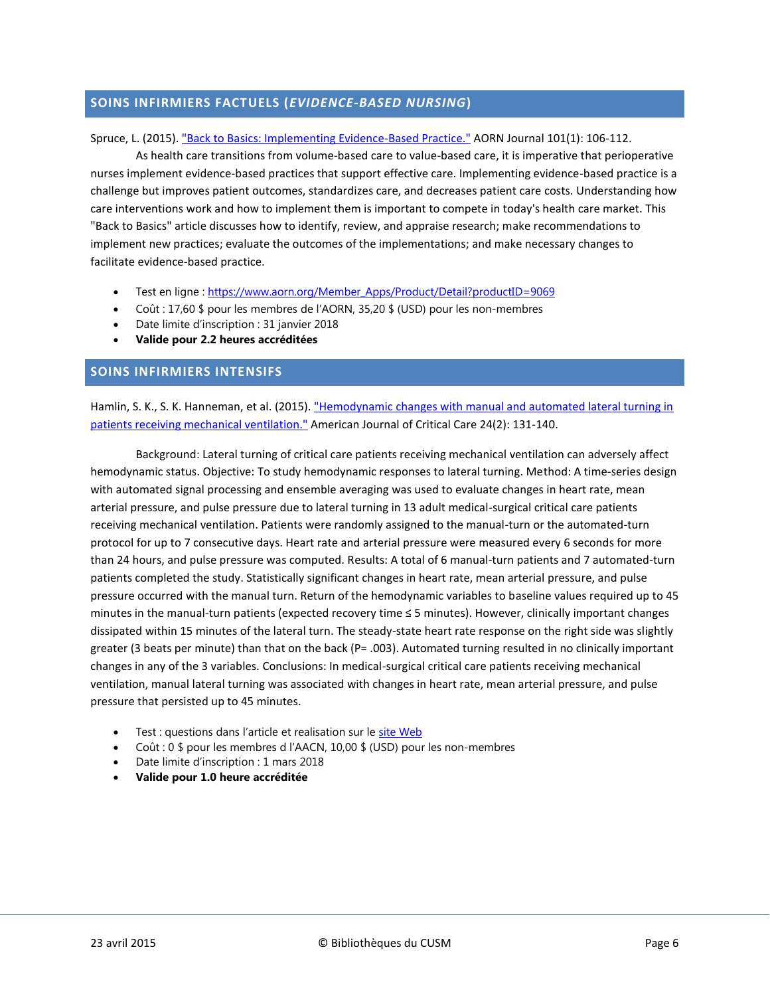# <span id="page-5-0"></span>**SOINS INFIRMIERS FACTUELS (***EVIDENCE-BASED NURSING***)**

#### Spruce, L. (2015)[. "Back to Basics: Implementing Evidence-Based Practice."](http://search.ebscohost.com/login.aspx?direct=true&db=ccm&AN=2012834063&site=ehost-live) AORN Journal 101(1): 106-112.

As health care transitions from volume-based care to value-based care, it is imperative that perioperative nurses implement evidence-based practices that support effective care. Implementing evidence-based practice is a challenge but improves patient outcomes, standardizes care, and decreases patient care costs. Understanding how care interventions work and how to implement them is important to compete in today's health care market. This "Back to Basics" article discusses how to identify, review, and appraise research; make recommendations to implement new practices; evaluate the outcomes of the implementations; and make necessary changes to facilitate evidence-based practice.

- Test en ligne : [https://www.aorn.org/Member\\_Apps/Product/Detail?productID=9069](https://www.aorn.org/Member_Apps/Product/Detail?productID=9069)
- Coût : 17,60 \$ pour les membres de l'AORN, 35,20 \$ (USD) pour les non-membres
- Date limite d'inscription : 31 janvier 2018
- **Valide pour 2.2 heures accréditées**

#### <span id="page-5-1"></span>**SOINS INFIRMIERS INTENSIFS**

Hamlin, S. K., S. K. Hanneman, et al. (2015). "Hemodynamic changes with manual and automated lateral turning in [patients receiving mechanical ventilation."](http://search.ebscohost.com/login.aspx?direct=true&db=ccm&AN=2012917346&site=ehost-live) American Journal of Critical Care 24(2): 131-140.

Background: Lateral turning of critical care patients receiving mechanical ventilation can adversely affect hemodynamic status. Objective: To study hemodynamic responses to lateral turning. Method: A time-series design with automated signal processing and ensemble averaging was used to evaluate changes in heart rate, mean arterial pressure, and pulse pressure due to lateral turning in 13 adult medical-surgical critical care patients receiving mechanical ventilation. Patients were randomly assigned to the manual-turn or the automated-turn protocol for up to 7 consecutive days. Heart rate and arterial pressure were measured every 6 seconds for more than 24 hours, and pulse pressure was computed. Results: A total of 6 manual-turn patients and 7 automated-turn patients completed the study. Statistically significant changes in heart rate, mean arterial pressure, and pulse pressure occurred with the manual turn. Return of the hemodynamic variables to baseline values required up to 45 minutes in the manual-turn patients (expected recovery time ≤ 5 minutes). However, clinically important changes dissipated within 15 minutes of the lateral turn. The steady-state heart rate response on the right side was slightly greater (3 beats per minute) than that on the back (P= .003). Automated turning resulted in no clinically important changes in any of the 3 variables. Conclusions: In medical-surgical critical care patients receiving mechanical ventilation, manual lateral turning was associated with changes in heart rate, mean arterial pressure, and pulse pressure that persisted up to 45 minutes.

- Test : questions dans l'article et realisation sur le [site Web](http://www.aacn.org/DM/CETests/Overview.aspx?TestID=1157&mid=2864&ItemID=1149&menu=CETests)
- Coût : 0 \$ pour les membres d l'AACN, 10,00 \$ (USD) pour les non-membres
- Date limite d'inscription : 1 mars 2018
- <span id="page-5-2"></span>**Valide pour 1.0 heure accréditée**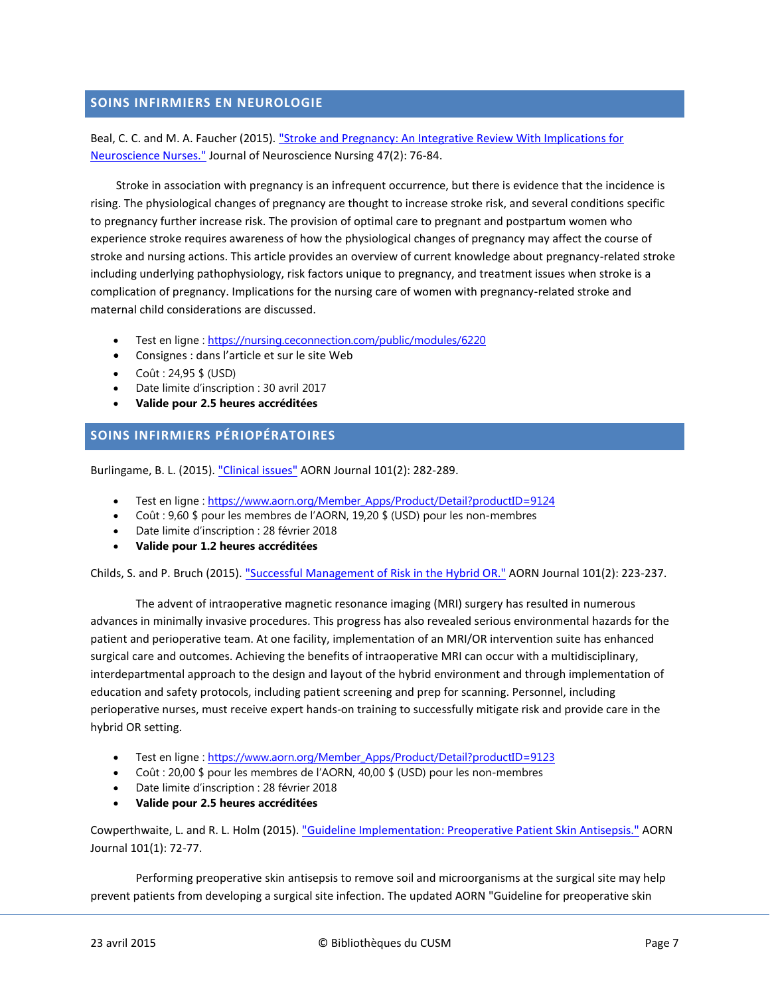# **SOINS INFIRMIERS EN NEUROLOGIE**

Beal, C. C. and M. A. Faucher (2015). ["Stroke and Pregnancy: An Integrative Review With Implications for](http://ovidsp.ovid.com/ovidweb.cgi?T=JS&CSC=Y&NEWS=N&PAGE=fulltext&AN=01376517-201504000-00003&LSLINK=80&D=ovft)  [Neuroscience Nurses."](http://ovidsp.ovid.com/ovidweb.cgi?T=JS&CSC=Y&NEWS=N&PAGE=fulltext&AN=01376517-201504000-00003&LSLINK=80&D=ovft) Journal of Neuroscience Nursing 47(2): 76-84.

Stroke in association with pregnancy is an infrequent occurrence, but there is evidence that the incidence is rising. The physiological changes of pregnancy are thought to increase stroke risk, and several conditions specific to pregnancy further increase risk. The provision of optimal care to pregnant and postpartum women who experience stroke requires awareness of how the physiological changes of pregnancy may affect the course of stroke and nursing actions. This article provides an overview of current knowledge about pregnancy-related stroke including underlying pathophysiology, risk factors unique to pregnancy, and treatment issues when stroke is a complication of pregnancy. Implications for the nursing care of women with pregnancy-related stroke and maternal child considerations are discussed.

- Test en ligne : <https://nursing.ceconnection.com/public/modules/6220>
- Consignes : dans l'article et sur le site Web
- $\bullet$  Coût : 24,95 \$ (USD)
- Date limite d'inscription : 30 avril 2017
- **Valide pour 2.5 heures accréditées**

# <span id="page-6-0"></span>**SOINS INFIRMIERS PÉRIOPÉRATOIRES**

Burlingame, B. L. (2015)[. "Clinical issues"](http://search.ebscohost.com/login.aspx?direct=true&db=ccm&AN=2012881895&site=ehost-live) AORN Journal 101(2): 282-289.

- Test en ligne : [https://www.aorn.org/Member\\_Apps/Product/Detail?productID=9124](https://www.aorn.org/Member_Apps/Product/Detail?productID=9124)
- Coût : 9,60 \$ pour les membres de l'AORN, 19,20 \$ (USD) pour les non-membres
- Date limite d'inscription : 28 février 2018
- **Valide pour 1.2 heures accréditées**

Childs, S. and P. Bruch (2015). ["Successful Management of Risk in the Hybrid OR."](http://search.ebscohost.com/login.aspx?direct=true&db=ccm&AN=2012881904&site=ehost-live) AORN Journal 101(2): 223-237.

The advent of intraoperative magnetic resonance imaging (MRI) surgery has resulted in numerous advances in minimally invasive procedures. This progress has also revealed serious environmental hazards for the patient and perioperative team. At one facility, implementation of an MRI/OR intervention suite has enhanced surgical care and outcomes. Achieving the benefits of intraoperative MRI can occur with a multidisciplinary, interdepartmental approach to the design and layout of the hybrid environment and through implementation of education and safety protocols, including patient screening and prep for scanning. Personnel, including perioperative nurses, must receive expert hands-on training to successfully mitigate risk and provide care in the hybrid OR setting.

- Test en ligne : https://www.aorn.org/Member Apps/Product/Detail?productID=9123
- Coût : 20,00 \$ pour les membres de l'AORN, 40,00 \$ (USD) pour les non-membres
- Date limite d'inscription : 28 février 2018
- **Valide pour 2.5 heures accréditées**

Cowperthwaite, L. and R. L. Holm (2015). ["Guideline Implementation: Preoperative Patient Skin Antisepsis."](http://search.ebscohost.com/login.aspx?direct=true&db=ccm&AN=2012834073&site=ehost-live) AORN Journal 101(1): 72-77.

Performing preoperative skin antisepsis to remove soil and microorganisms at the surgical site may help prevent patients from developing a surgical site infection. The updated AORN "Guideline for preoperative skin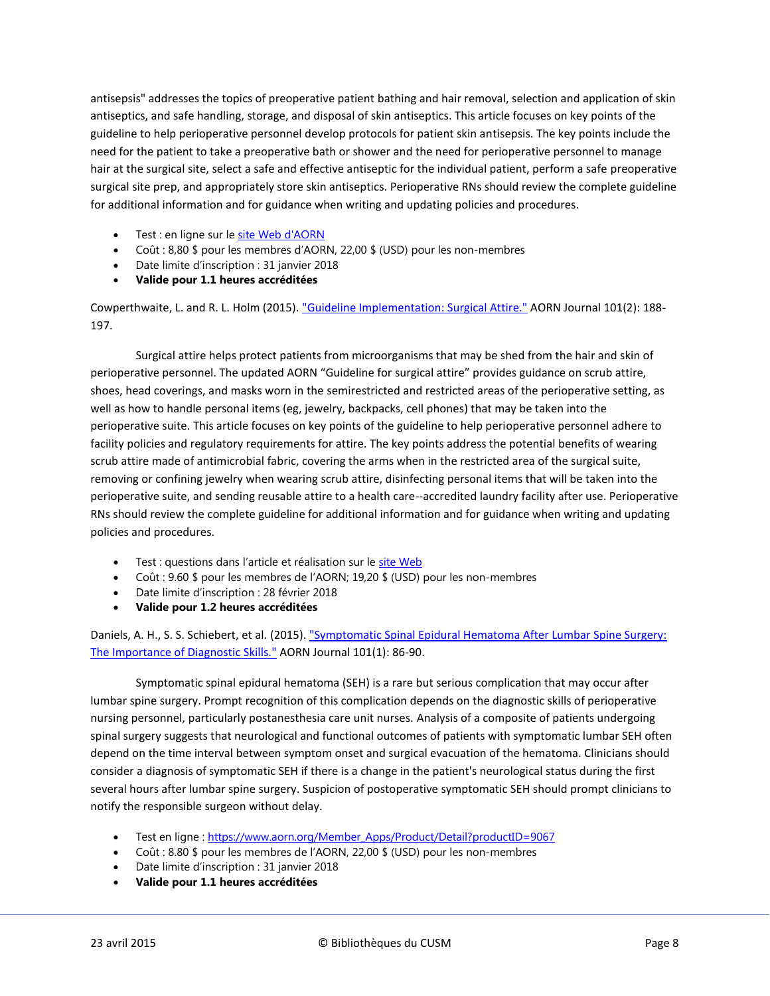antisepsis" addresses the topics of preoperative patient bathing and hair removal, selection and application of skin antiseptics, and safe handling, storage, and disposal of skin antiseptics. This article focuses on key points of the guideline to help perioperative personnel develop protocols for patient skin antisepsis. The key points include the need for the patient to take a preoperative bath or shower and the need for perioperative personnel to manage hair at the surgical site, select a safe and effective antiseptic for the individual patient, perform a safe preoperative surgical site prep, and appropriately store skin antiseptics. Perioperative RNs should review the complete guideline for additional information and for guidance when writing and updating policies and procedures.

- Test : en ligne sur le [site Web d'AORN](https://www.aorn.org/Member_Apps/Product/Detail?productID=9066)
- Coût : 8,80 \$ pour les membres d'AORN, 22,00 \$ (USD) pour les non-membres
- Date limite d'inscription : 31 janvier 2018
- **Valide pour 1.1 heures accréditées**

Cowperthwaite, L. and R. L. Holm (2015). ["Guideline Implementation: Surgical Attire."](http://search.ebscohost.com/login.aspx?direct=true&db=ccm&AN=2012881906&site=ehost-live) AORN Journal 101(2): 188- 197.

Surgical attire helps protect patients from microorganisms that may be shed from the hair and skin of perioperative personnel. The updated AORN "Guideline for surgical attire" provides guidance on scrub attire, shoes, head coverings, and masks worn in the semirestricted and restricted areas of the perioperative setting, as well as how to handle personal items (eg, jewelry, backpacks, cell phones) that may be taken into the perioperative suite. This article focuses on key points of the guideline to help perioperative personnel adhere to facility policies and regulatory requirements for attire. The key points address the potential benefits of wearing scrub attire made of antimicrobial fabric, covering the arms when in the restricted area of the surgical suite, removing or confining jewelry when wearing scrub attire, disinfecting personal items that will be taken into the perioperative suite, and sending reusable attire to a health care--accredited laundry facility after use. Perioperative RNs should review the complete guideline for additional information and for guidance when writing and updating policies and procedures.

- **Test : questions dans l'article et réalisation sur le [site Web](https://www.aorn.org/Member_Apps/Product/Detail?productID=9125)**
- Coût : 9.60 \$ pour les membres de l'AORN; 19,20 \$ (USD) pour les non-membres
- Date limite d'inscription : 28 février 2018
- **Valide pour 1.2 heures accréditées**

Daniels, A. H., S. S. Schiebert, et al. (2015). "Symptomatic Spinal Epidural Hematoma After Lumbar Spine Surgery: [The Importance of Diagnostic Skills."](http://search.ebscohost.com/login.aspx?direct=true&db=ccm&AN=2012834060&site=ehost-live) AORN Journal 101(1): 86-90.

Symptomatic spinal epidural hematoma (SEH) is a rare but serious complication that may occur after lumbar spine surgery. Prompt recognition of this complication depends on the diagnostic skills of perioperative nursing personnel, particularly postanesthesia care unit nurses. Analysis of a composite of patients undergoing spinal surgery suggests that neurological and functional outcomes of patients with symptomatic lumbar SEH often depend on the time interval between symptom onset and surgical evacuation of the hematoma. Clinicians should consider a diagnosis of symptomatic SEH if there is a change in the patient's neurological status during the first several hours after lumbar spine surgery. Suspicion of postoperative symptomatic SEH should prompt clinicians to notify the responsible surgeon without delay.

- Test en ligne : [https://www.aorn.org/Member\\_Apps/Product/Detail?productID=9067](https://www.aorn.org/Member_Apps/Product/Detail?productID=9067)
- Coût : 8.80 \$ pour les membres de l'AORN, 22,00 \$ (USD) pour les non-membres
- Date limite d'inscription : 31 janvier 2018
- **Valide pour 1.1 heures accréditées**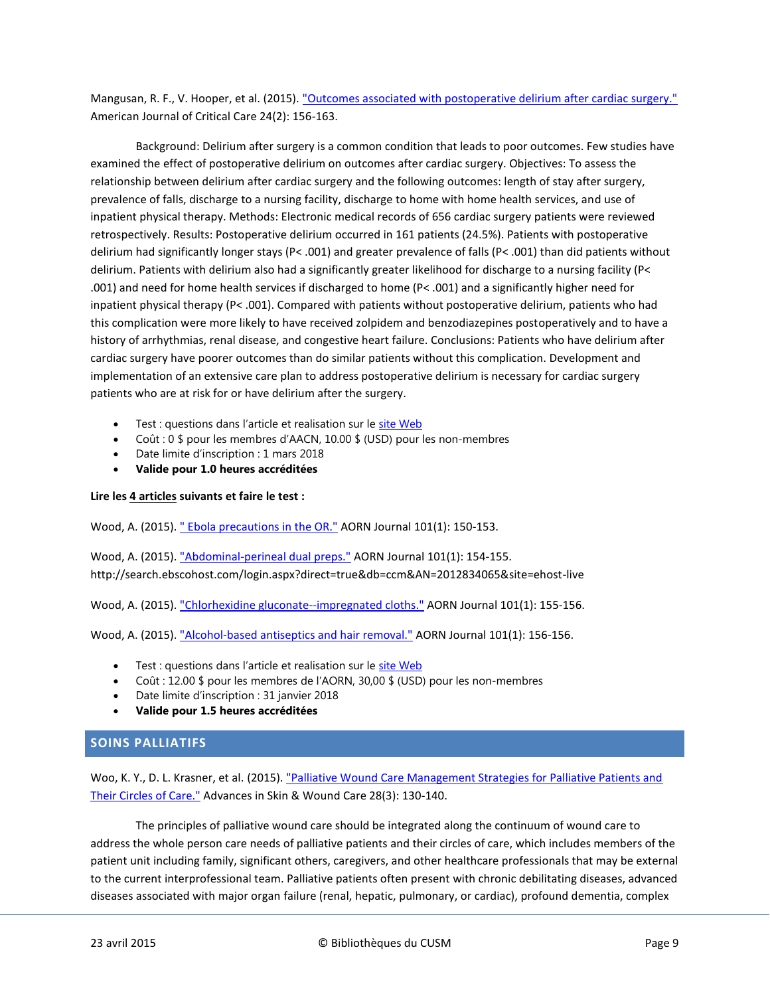Mangusan, R. F., V. Hooper, et al. (2015)[. "Outcomes associated with postoperative delirium after cardiac surgery."](http://search.ebscohost.com/login.aspx?direct=true&db=ccm&AN=2012917349&site=ehost-live) American Journal of Critical Care 24(2): 156-163.

Background: Delirium after surgery is a common condition that leads to poor outcomes. Few studies have examined the effect of postoperative delirium on outcomes after cardiac surgery. Objectives: To assess the relationship between delirium after cardiac surgery and the following outcomes: length of stay after surgery, prevalence of falls, discharge to a nursing facility, discharge to home with home health services, and use of inpatient physical therapy. Methods: Electronic medical records of 656 cardiac surgery patients were reviewed retrospectively. Results: Postoperative delirium occurred in 161 patients (24.5%). Patients with postoperative delirium had significantly longer stays (P< .001) and greater prevalence of falls (P< .001) than did patients without delirium. Patients with delirium also had a significantly greater likelihood for discharge to a nursing facility (P< .001) and need for home health services if discharged to home (P< .001) and a significantly higher need for inpatient physical therapy (P< .001). Compared with patients without postoperative delirium, patients who had this complication were more likely to have received zolpidem and benzodiazepines postoperatively and to have a history of arrhythmias, renal disease, and congestive heart failure. Conclusions: Patients who have delirium after cardiac surgery have poorer outcomes than do similar patients without this complication. Development and implementation of an extensive care plan to address postoperative delirium is necessary for cardiac surgery patients who are at risk for or have delirium after the surgery.

- Test : questions dans l'article et realisation sur le [site Web](http://www.aacn.org/DM/CETests/Overview.aspx?TestID=1158&mid=2864&ItemID=1150&menu=CETests)
- Coût : 0 \$ pour les membres d'AACN, 10.00 \$ (USD) pour les non-membres
- Date limite d'inscription : 1 mars 2018
- **Valide pour 1.0 heures accréditées**

#### **Lire les 4 articles suivants et faire le test :**

Wood, A. (2015). [" Ebola precautions in the OR."](http://search.ebscohost.com/login.aspx?direct=true&db=ccm&AN=2012834064&site=ehost-live) AORN Journal 101(1): 150-153.

Wood, A. (2015). ["Abdominal-perineal dual preps."](http://search.ebscohost.com/login.aspx?direct=true&db=ccm&AN=2012834065&site=ehost-live) AORN Journal 101(1): 154-155. http://search.ebscohost.com/login.aspx?direct=true&db=ccm&AN=2012834065&site=ehost-live

Wood, A. (2015). ["Chlorhexidine gluconate--impregnated cloths."](http://search.ebscohost.com/login.aspx?direct=true&db=ccm&AN=2012834066&site=ehost-live) AORN Journal 101(1): 155-156.

Wood, A. (2015). ["Alcohol-based antiseptics and hair removal."](http://search.ebscohost.com/login.aspx?direct=true&db=ccm&AN=2012834067&site=ehost-live) AORN Journal 101(1): 156-156.

- **Test : questions dans l'article et realisation sur le [site Web](https://www.aorn.org/Member_Apps/Product/Detail?productID=9068)**
- Coût : 12.00 \$ pour les membres de l'AORN, 30,00 \$ (USD) pour les non-membres
- Date limite d'inscription : 31 janvier 2018
- **Valide pour 1.5 heures accréditées**

# <span id="page-8-0"></span>**SOINS PALLIATIFS**

Woo, K. Y., D. L. Krasner, et al. (2015)[. "Palliative Wound Care Management Strategies for Palliative Patients and](http://ovidsp.ovid.com/ovidweb.cgi?T=JS&CSC=Y&NEWS=N&PAGE=fulltext&AN=00129334-201503000-00009&LSLINK=80&D=ovft)  [Their Circles of Care."](http://ovidsp.ovid.com/ovidweb.cgi?T=JS&CSC=Y&NEWS=N&PAGE=fulltext&AN=00129334-201503000-00009&LSLINK=80&D=ovft) Advances in Skin & Wound Care 28(3): 130-140.

The principles of palliative wound care should be integrated along the continuum of wound care to address the whole person care needs of palliative patients and their circles of care, which includes members of the patient unit including family, significant others, caregivers, and other healthcare professionals that may be external to the current interprofessional team. Palliative patients often present with chronic debilitating diseases, advanced diseases associated with major organ failure (renal, hepatic, pulmonary, or cardiac), profound dementia, complex